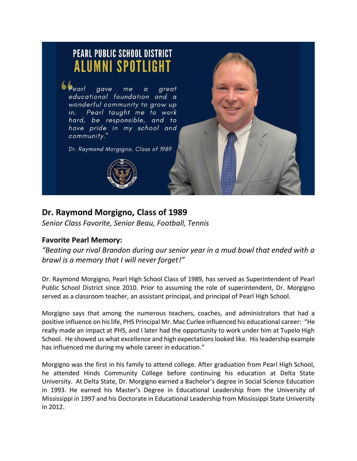

## **Dr. Raymond Morgigno, Class of 1989**

*Senior Class Favorite, Senior Beau, Football, Tennis*

## **Favorite Pearl Memory:**

*"Beating our rival Brandon during our senior year in a mud bowl that ended with a brawl is a memory that I will never forget!"*

Dr. Raymond Morgigno, Pearl High School Class of 1989, has served as Superintendent of Pearl Public School District since 2010. Prior to assuming the role of superintendent, Dr. Morgigno served as a classroom teacher, an assistant principal, and principal of Pearl High School.

Morgigno says that among the numerous teachers, coaches, and administrators that had a positive influence on hislife, PHS Principal Mr. Mac Curlee influenced his educational career: "He really made an impact at PHS, and I later had the opportunity to work under him at Tupelo High School. He showed us what excellence and high expectations looked like. His leadership example has influenced me during my whole career in education."

Morgigno was the first in his family to attend college. After graduation from Pearl High School, he attended Hinds Community College before continuing his education at Delta State University. At Delta State, Dr. Morgigno earned a Bachelor's degree in Social Science Education in 1993. He earned his Master's Degree in Educational Leadership from the University of Mississippi in 1997 and his Doctorate in Educational Leadership from Mississippi State University in 2012.